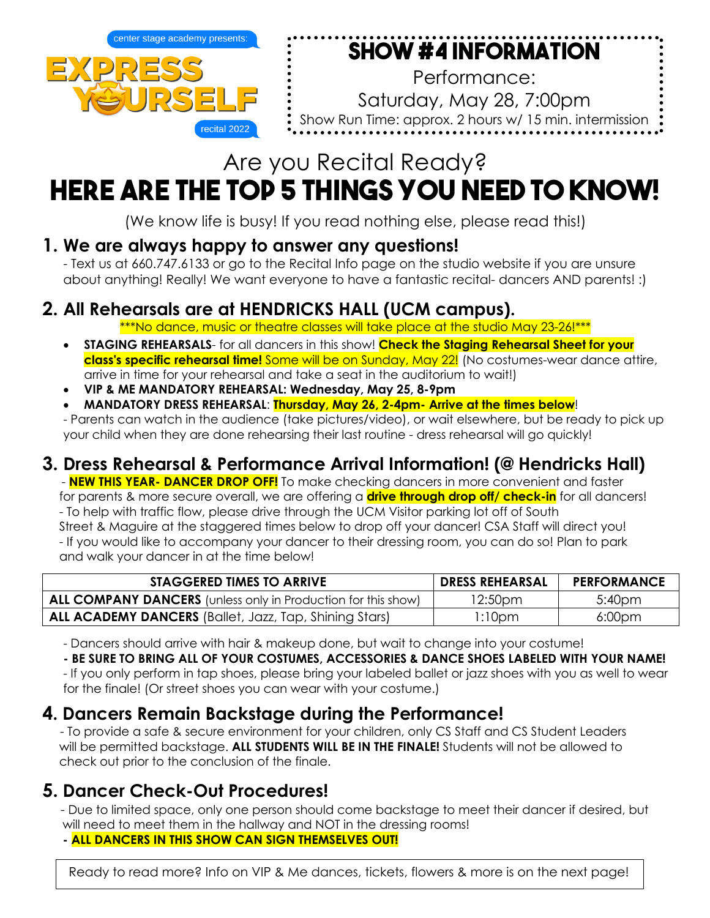

# **Show #4 Information**

Performance: Saturday, May 28, 7:00pm Show Run Time: approx. 2 hours w/ 15 min. intermission

# Are you Recital Ready? **Here are the TOP 5 things YOU NEED TO KNOW!**

(We know life is busy! If you read nothing else, please read this!)

## **1. We are always happy to answer any questions!**

- Text us at 660.747.6133 or go to the Recital Info page on the studio website if you are unsure about anything! Really! We want everyone to have a fantastic recital- dancers AND parents! :)

## **2. All Rehearsals are at HENDRICKS HALL (UCM campus).**

\*\*\*No dance, music or theatre classes will take place at the studio May 23-26!\*\*\*

- **STAGING REHEARSALS** for all dancers in this show! **Check the Staging Rehearsal Sheet for your class's specific rehearsal time!** Some will be on Sunday, May 22! (No costumes-wear dance attire, arrive in time for your rehearsal and take a seat in the auditorium to wait!)
- **VIP & ME MANDATORY REHEARSAL: Wednesday, May 25, 8-9pm**
- **MANDATORY DRESS REHEARSAL**: **Thursday, May 26, 2-4pm- Arrive at the times below**!

- Parents can watch in the audience (take pictures/video), or wait elsewhere, but be ready to pick up your child when they are done rehearsing their last routine - dress rehearsal will go quickly!

## **3. Dress Rehearsal & Performance Arrival Information! (@ Hendricks Hall)**

 - **NEW THIS YEAR- DANCER DROP OFF!** To make checking dancers in more convenient and faster for parents & more secure overall, we are offering a **drive through drop off/ check-in** for all dancers! - To help with traffic flow, please drive through the UCM Visitor parking lot off of South Street & Maguire at the staggered times below to drop off your dancer! CSA Staff will direct you! - If you would like to accompany your dancer to their dressing room, you can do so! Plan to park and walk your dancer in at the time below!

| <b>STAGGERED TIMES TO ARRIVE</b>                                     | <b>DRESS REHEARSAL</b> | <b>PERFORMANCE</b> |
|----------------------------------------------------------------------|------------------------|--------------------|
| <b>ALL COMPANY DANCERS</b> (unless only in Production for this show) | 12:50 <sub>pm</sub>    | 5:40 <sub>pm</sub> |
| <b>ALL ACADEMY DANCERS</b> (Ballet, Jazz, Tap, Shining Stars)        | 1:10pm                 | 6:00 <sub>pm</sub> |

- Dancers should arrive with hair & makeup done, but wait to change into your costume!

### **- BE SURE TO BRING ALL OF YOUR COSTUMES, ACCESSORIES & DANCE SHOES LABELED WITH YOUR NAME!**

- If you only perform in tap shoes, please bring your labeled ballet or jazz shoes with you as well to wear for the finale! (Or street shoes you can wear with your costume.)

## **4. Dancers Remain Backstage during the Performance!**

 - To provide a safe & secure environment for your children, only CS Staff and CS Student Leaders will be permitted backstage. **ALL STUDENTS WILL BE IN THE FINALE!** Students will not be allowed to check out prior to the conclusion of the finale.

**5. Dancer Check-Out Procedures!** - Due to limited space, only one person should come backstage to meet their dancer if desired, but will need to meet them in the hallway and NOT in the dressing rooms!

 **- ALL DANCERS IN THIS SHOW CAN SIGN THEMSELVES OUT!**

Ready to read more? Info on VIP & Me dances, tickets, flowers & more is on the next page!